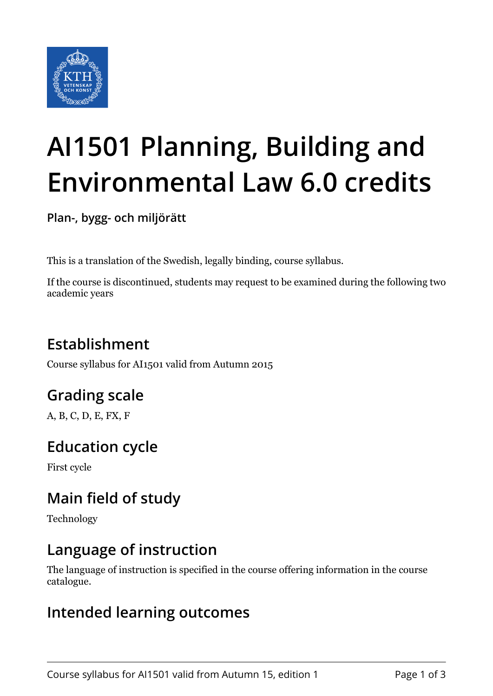

# **AI1501 Planning, Building and Environmental Law 6.0 credits**

**Plan-, bygg- och miljörätt**

This is a translation of the Swedish, legally binding, course syllabus.

If the course is discontinued, students may request to be examined during the following two academic years

# **Establishment**

Course syllabus for AI1501 valid from Autumn 2015

# **Grading scale**

A, B, C, D, E, FX, F

# **Education cycle**

First cycle

# **Main field of study**

Technology

## **Language of instruction**

The language of instruction is specified in the course offering information in the course catalogue.

### **Intended learning outcomes**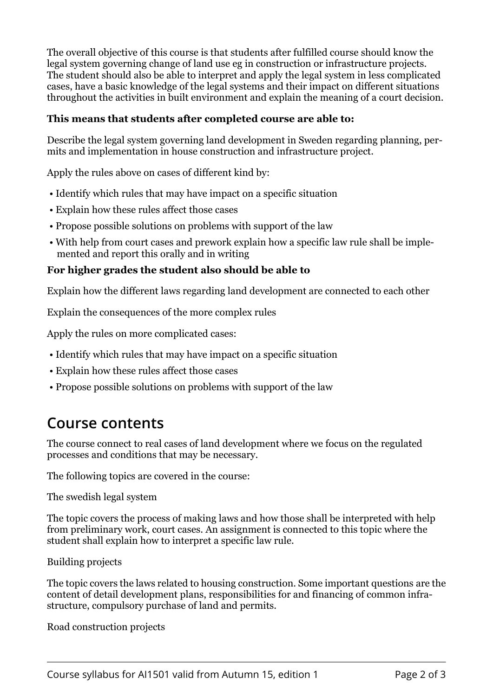The overall objective of this course is that students after fulfilled course should know the legal system governing change of land use eg in construction or infrastructure projects. The student should also be able to interpret and apply the legal system in less complicated cases, have a basic knowledge of the legal systems and their impact on different situations throughout the activities in built environment and explain the meaning of a court decision.

#### This means that students after completed course are able to:

Describe the legal system governing land development in Sweden regarding planning, permits and implementation in house construction and infrastructure project.

Apply the rules above on cases of different kind by:

- Identify which rules that may have impact on a specific situation
- Explain how these rules affect those cases
- Propose possible solutions on problems with support of the law
- With help from court cases and prework explain how a specific law rule shall be implemented and report this orally and in writing

#### For higher grades the student also should be able to

Explain how the different laws regarding land development are connected to each other

Explain the consequences of the more complex rules

Apply the rules on more complicated cases:

- Identify which rules that may have impact on a specific situation
- Explain how these rules affect those cases
- Propose possible solutions on problems with support of the law

### **Course contents**

The course connect to real cases of land development where we focus on the regulated processes and conditions that may be necessary.

The following topics are covered in the course:

The swedish legal system

The topic covers the process of making laws and how those shall be interpreted with help from preliminary work, court cases. An assignment is connected to this topic where the student shall explain how to interpret a specific law rule.

Building projects

The topic covers the laws related to housing construction. Some important questions are the content of detail development plans, responsibilities for and financing of common infrastructure, compulsory purchase of land and permits.

Road construction projects